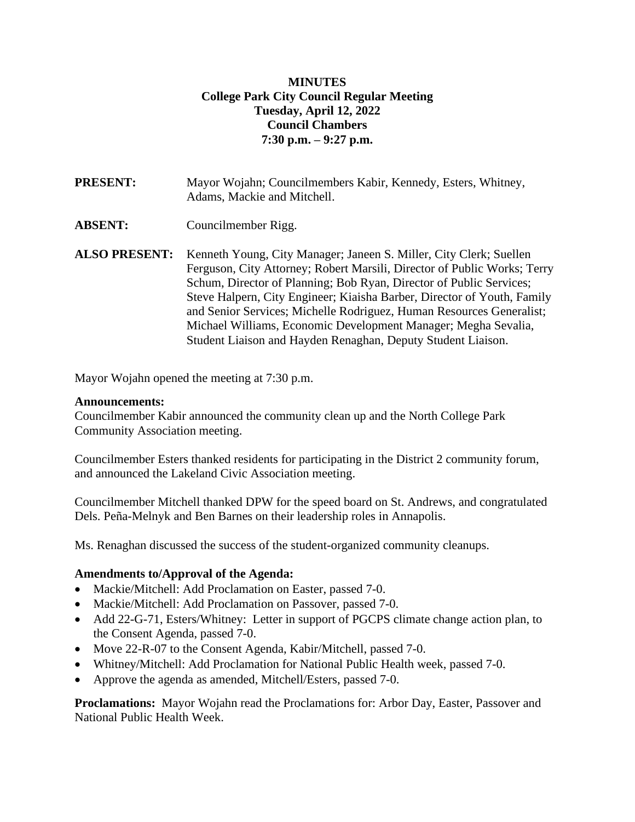## **MINUTES College Park City Council Regular Meeting Tuesday, April 12, 2022 Council Chambers 7:30 p.m. – 9:27 p.m.**

- **PRESENT:** Mayor Wojahn; Councilmembers Kabir, Kennedy, Esters, Whitney, Adams, Mackie and Mitchell.
- **ABSENT:** Councilmember Rigg.
- **ALSO PRESENT:** Kenneth Young, City Manager; Janeen S. Miller, City Clerk; Suellen Ferguson, City Attorney; Robert Marsili, Director of Public Works; Terry Schum, Director of Planning; Bob Ryan, Director of Public Services; Steve Halpern, City Engineer; Kiaisha Barber, Director of Youth, Family and Senior Services; Michelle Rodriguez, Human Resources Generalist; Michael Williams, Economic Development Manager; Megha Sevalia, Student Liaison and Hayden Renaghan, Deputy Student Liaison.

Mayor Wojahn opened the meeting at 7:30 p.m.

#### **Announcements:**

Councilmember Kabir announced the community clean up and the North College Park Community Association meeting.

Councilmember Esters thanked residents for participating in the District 2 community forum, and announced the Lakeland Civic Association meeting.

Councilmember Mitchell thanked DPW for the speed board on St. Andrews, and congratulated Dels. Peña-Melnyk and Ben Barnes on their leadership roles in Annapolis.

Ms. Renaghan discussed the success of the student-organized community cleanups.

#### **Amendments to/Approval of the Agenda:**

- Mackie/Mitchell: Add Proclamation on Easter, passed 7-0.
- Mackie/Mitchell: Add Proclamation on Passover, passed 7-0.
- Add 22-G-71, Esters/Whitney: Letter in support of PGCPS climate change action plan, to the Consent Agenda, passed 7-0.
- Move 22-R-07 to the Consent Agenda, Kabir/Mitchell, passed 7-0.
- Whitney/Mitchell: Add Proclamation for National Public Health week, passed 7-0.
- Approve the agenda as amended, Mitchell/Esters, passed 7-0.

**Proclamations:** Mayor Wojahn read the Proclamations for: Arbor Day, Easter, Passover and National Public Health Week.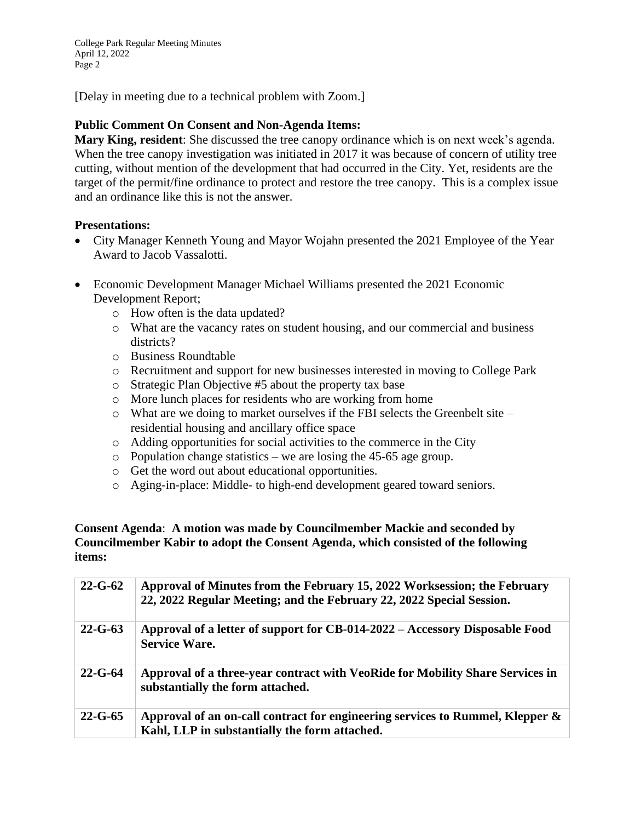College Park Regular Meeting Minutes April 12, 2022 Page 2

[Delay in meeting due to a technical problem with Zoom.]

### **Public Comment On Consent and Non-Agenda Items:**

**Mary King, resident**: She discussed the tree canopy ordinance which is on next week's agenda. When the tree canopy investigation was initiated in 2017 it was because of concern of utility tree cutting, without mention of the development that had occurred in the City. Yet, residents are the target of the permit/fine ordinance to protect and restore the tree canopy. This is a complex issue and an ordinance like this is not the answer.

#### **Presentations:**

- City Manager Kenneth Young and Mayor Wojahn presented the 2021 Employee of the Year Award to Jacob Vassalotti.
- Economic Development Manager Michael Williams presented the 2021 Economic Development Report;
	- o How often is the data updated?
	- o What are the vacancy rates on student housing, and our commercial and business districts?
	- o Business Roundtable
	- o Recruitment and support for new businesses interested in moving to College Park
	- o Strategic Plan Objective #5 about the property tax base
	- o More lunch places for residents who are working from home
	- o What are we doing to market ourselves if the FBI selects the Greenbelt site residential housing and ancillary office space
	- o Adding opportunities for social activities to the commerce in the City
	- $\circ$  Population change statistics we are losing the 45-65 age group.
	- o Get the word out about educational opportunities.
	- o Aging-in-place: Middle- to high-end development geared toward seniors.

#### **Consent Agenda**: **A motion was made by Councilmember Mackie and seconded by Councilmember Kabir to adopt the Consent Agenda, which consisted of the following items:**

| $22 - G - 62$ | Approval of Minutes from the February 15, 2022 Worksession; the February<br>22, 2022 Regular Meeting; and the February 22, 2022 Special Session. |
|---------------|--------------------------------------------------------------------------------------------------------------------------------------------------|
| $22 - G - 63$ | Approval of a letter of support for CB-014-2022 – Accessory Disposable Food<br><b>Service Ware.</b>                                              |
| $22 - G - 64$ | Approval of a three-year contract with VeoRide for Mobility Share Services in<br>substantially the form attached.                                |
| $22 - G - 65$ | Approval of an on-call contract for engineering services to Rummel, Klepper $\&$<br>Kahl, LLP in substantially the form attached.                |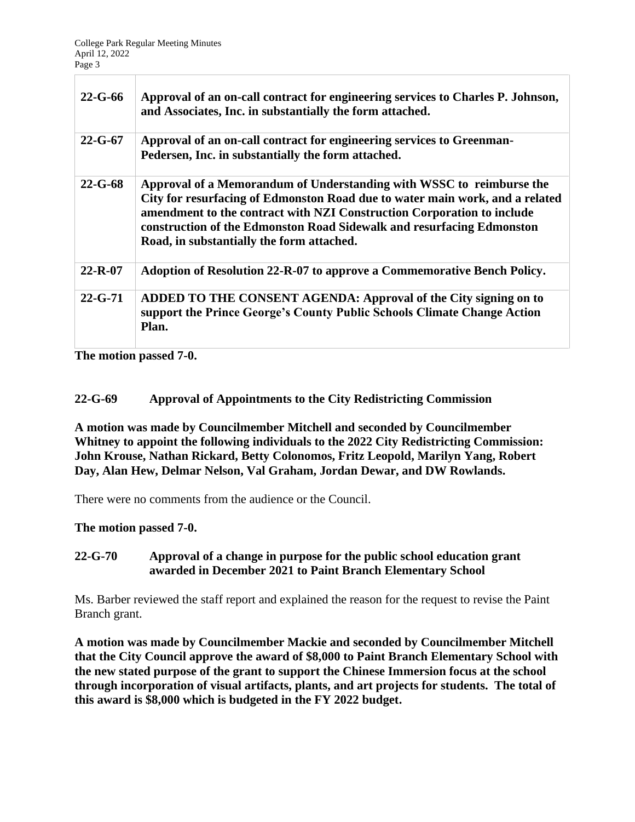| $22 - G - 66$ | Approval of an on-call contract for engineering services to Charles P. Johnson,<br>and Associates, Inc. in substantially the form attached.                                                                                                                                                                                                          |
|---------------|------------------------------------------------------------------------------------------------------------------------------------------------------------------------------------------------------------------------------------------------------------------------------------------------------------------------------------------------------|
| $22 - G - 67$ | Approval of an on-call contract for engineering services to Greenman-<br>Pedersen, Inc. in substantially the form attached.                                                                                                                                                                                                                          |
| $22 - G - 68$ | Approval of a Memorandum of Understanding with WSSC to reimburse the<br>City for resurfacing of Edmonston Road due to water main work, and a related<br>amendment to the contract with NZI Construction Corporation to include<br>construction of the Edmonston Road Sidewalk and resurfacing Edmonston<br>Road, in substantially the form attached. |
| $22 - R - 07$ | Adoption of Resolution 22-R-07 to approve a Commemorative Bench Policy.                                                                                                                                                                                                                                                                              |
| $22 - G - 71$ | ADDED TO THE CONSENT AGENDA: Approval of the City signing on to<br>support the Prince George's County Public Schools Climate Change Action<br>Plan.                                                                                                                                                                                                  |

**The motion passed 7-0.**

### **22-G-69 Approval of Appointments to the City Redistricting Commission**

**A motion was made by Councilmember Mitchell and seconded by Councilmember Whitney to appoint the following individuals to the 2022 City Redistricting Commission: John Krouse, Nathan Rickard, Betty Colonomos, Fritz Leopold, Marilyn Yang, Robert Day, Alan Hew, Delmar Nelson, Val Graham, Jordan Dewar, and DW Rowlands.**

There were no comments from the audience or the Council.

**The motion passed 7-0.**

### **22-G-70 Approval of a change in purpose for the public school education grant awarded in December 2021 to Paint Branch Elementary School**

Ms. Barber reviewed the staff report and explained the reason for the request to revise the Paint Branch grant.

**A motion was made by Councilmember Mackie and seconded by Councilmember Mitchell that the City Council approve the award of \$8,000 to Paint Branch Elementary School with the new stated purpose of the grant to support the Chinese Immersion focus at the school through incorporation of visual artifacts, plants, and art projects for students. The total of this award is \$8,000 which is budgeted in the FY 2022 budget.**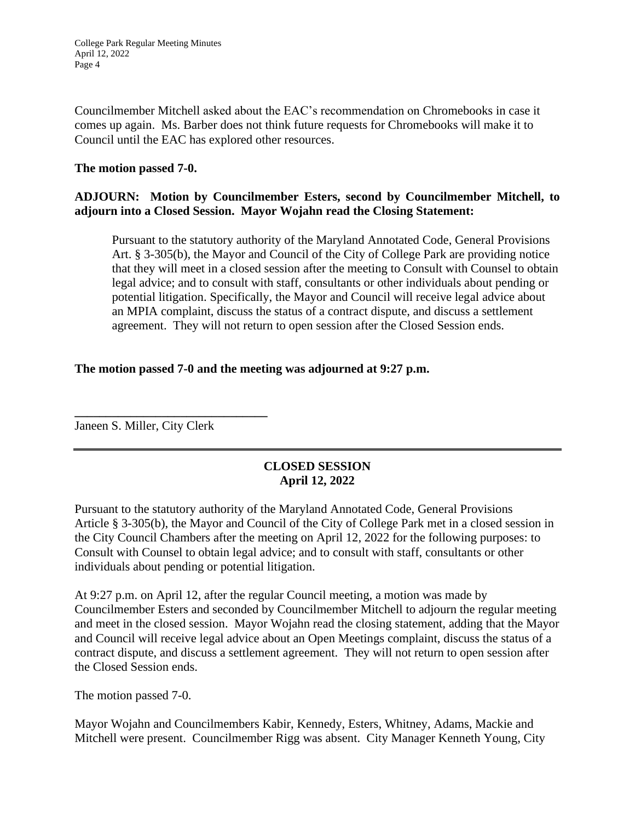Councilmember Mitchell asked about the EAC's recommendation on Chromebooks in case it comes up again. Ms. Barber does not think future requests for Chromebooks will make it to Council until the EAC has explored other resources.

### **The motion passed 7-0.**

# **ADJOURN: Motion by Councilmember Esters, second by Councilmember Mitchell, to adjourn into a Closed Session. Mayor Wojahn read the Closing Statement:**

Pursuant to the statutory authority of the Maryland Annotated Code, General Provisions Art. § 3-305(b), the Mayor and Council of the City of College Park are providing notice that they will meet in a closed session after the meeting to Consult with Counsel to obtain legal advice; and to consult with staff, consultants or other individuals about pending or potential litigation. Specifically, the Mayor and Council will receive legal advice about an MPIA complaint, discuss the status of a contract dispute, and discuss a settlement agreement. They will not return to open session after the Closed Session ends.

### **The motion passed 7-0 and the meeting was adjourned at 9:27 p.m.**

Janeen S. Miller, City Clerk

**\_\_\_\_\_\_\_\_\_\_\_\_\_\_\_\_\_\_\_\_\_\_\_\_\_\_\_\_\_\_\_**

# **CLOSED SESSION April 12, 2022**

Pursuant to the statutory authority of the Maryland Annotated Code, General Provisions Article § 3-305(b), the Mayor and Council of the City of College Park met in a closed session in the City Council Chambers after the meeting on April 12, 2022 for the following purposes: to Consult with Counsel to obtain legal advice; and to consult with staff, consultants or other individuals about pending or potential litigation.

At 9:27 p.m. on April 12, after the regular Council meeting, a motion was made by Councilmember Esters and seconded by Councilmember Mitchell to adjourn the regular meeting and meet in the closed session. Mayor Wojahn read the closing statement, adding that the Mayor and Council will receive legal advice about an Open Meetings complaint, discuss the status of a contract dispute, and discuss a settlement agreement. They will not return to open session after the Closed Session ends.

The motion passed 7-0.

Mayor Wojahn and Councilmembers Kabir, Kennedy, Esters, Whitney, Adams, Mackie and Mitchell were present. Councilmember Rigg was absent. City Manager Kenneth Young, City